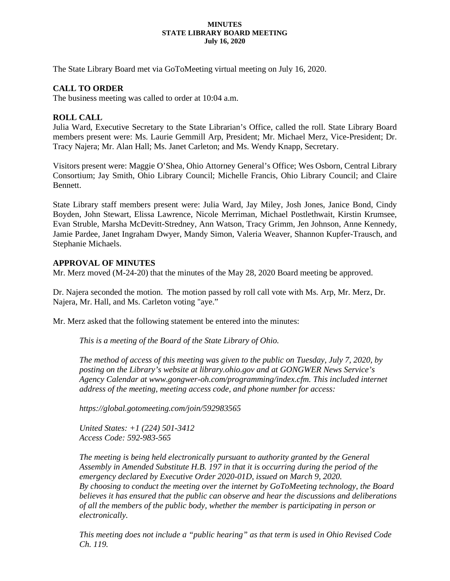#### **MINUTES STATE LIBRARY BOARD MEETING July 16, 2020**

The State Library Board met via GoToMeeting virtual meeting on July 16, 2020.

# **CALL TO ORDER**

The business meeting was called to order at 10:04 a.m.

# **ROLL CALL**

Julia Ward, Executive Secretary to the State Librarian's Office, called the roll. State Library Board members present were: Ms. Laurie Gemmill Arp, President; Mr. Michael Merz, Vice-President; Dr. Tracy Najera; Mr. Alan Hall; Ms. Janet Carleton; and Ms. Wendy Knapp, Secretary.

Visitors present were: Maggie O'Shea, Ohio Attorney General's Office; Wes Osborn, Central Library Consortium; Jay Smith, Ohio Library Council; Michelle Francis, Ohio Library Council; and Claire Bennett.

State Library staff members present were: Julia Ward, Jay Miley, Josh Jones, Janice Bond, Cindy Boyden, John Stewart, Elissa Lawrence, Nicole Merriman, Michael Postlethwait, Kirstin Krumsee, Evan Struble, Marsha McDevitt-Stredney, Ann Watson, Tracy Grimm, Jen Johnson, Anne Kennedy, Jamie Pardee, Janet Ingraham Dwyer, Mandy Simon, Valeria Weaver, Shannon Kupfer-Trausch, and Stephanie Michaels.

# **APPROVAL OF MINUTES**

Mr. Merz moved (M-24-20) that the minutes of the May 28, 2020 Board meeting be approved.

Dr. Najera seconded the motion. The motion passed by roll call vote with Ms. Arp, Mr. Merz, Dr. Najera, Mr. Hall, and Ms. Carleton voting "aye."

Mr. Merz asked that the following statement be entered into the minutes:

*This is a meeting of the Board of the State Library of Ohio.*

*The method of access of this meeting was given to the public on Tuesday, July 7, 2020, by posting on the Library's website at library.ohio.gov and at GONGWER News Service's Agency Calendar at www.gongwer-oh.com/programming/index.cfm. This included internet address of the meeting, meeting access code, and phone number for access:*

*https://global.gotomeeting.com/join/592983565*

*United States: +1 (224) 501-3412 Access Code: 592-983-565*

*The meeting is being held electronically pursuant to authority granted by the General Assembly in Amended Substitute H.B. 197 in that it is occurring during the period of the emergency declared by Executive Order 2020-01D, issued on March 9, 2020. By choosing to conduct the meeting over the internet by GoToMeeting technology, the Board believes it has ensured that the public can observe and hear the discussions and deliberations of all the members of the public body, whether the member is participating in person or electronically.* 

*This meeting does not include a "public hearing" as that term is used in Ohio Revised Code Ch. 119.*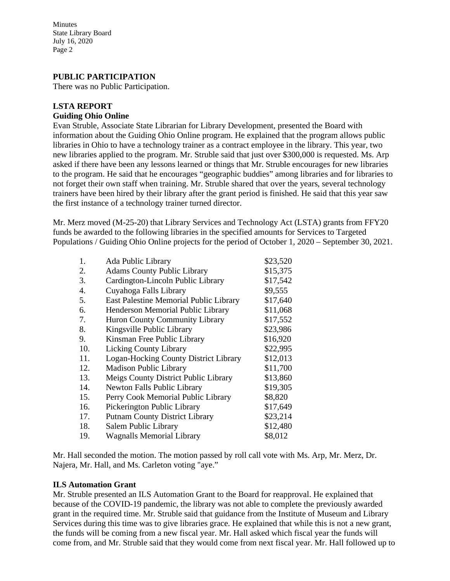# **PUBLIC PARTICIPATION**

There was no Public Participation.

# **LSTA REPORT**

## **Guiding Ohio Online**

Evan Struble, Associate State Librarian for Library Development, presented the Board with information about the Guiding Ohio Online program. He explained that the program allows public libraries in Ohio to have a technology trainer as a contract employee in the library. This year, two new libraries applied to the program. Mr. Struble said that just over \$300,000 is requested. Ms. Arp asked if there have been any lessons learned or things that Mr. Struble encourages for new libraries to the program. He said that he encourages "geographic buddies" among libraries and for libraries to not forget their own staff when training. Mr. Struble shared that over the years, several technology trainers have been hired by their library after the grant period is finished. He said that this year saw the first instance of a technology trainer turned director.

Mr. Merz moved (M-25-20) that Library Services and Technology Act (LSTA) grants from FFY20 funds be awarded to the following libraries in the specified amounts for Services to Targeted Populations / Guiding Ohio Online projects for the period of October 1, 2020 – September 30, 2021.

| Ada Public Library                     | \$23,520 |
|----------------------------------------|----------|
| <b>Adams County Public Library</b>     | \$15,375 |
| Cardington-Lincoln Public Library      | \$17,542 |
| Cuyahoga Falls Library                 | \$9,555  |
| East Palestine Memorial Public Library | \$17,640 |
| Henderson Memorial Public Library      | \$11,068 |
| <b>Huron County Community Library</b>  | \$17,552 |
| Kingsville Public Library              | \$23,986 |
| Kinsman Free Public Library            | \$16,920 |
| <b>Licking County Library</b>          | \$22,995 |
| Logan-Hocking County District Library  | \$12,013 |
| <b>Madison Public Library</b>          | \$11,700 |
| Meigs County District Public Library   | \$13,860 |
| <b>Newton Falls Public Library</b>     | \$19,305 |
| Perry Cook Memorial Public Library     | \$8,820  |
| Pickerington Public Library            | \$17,649 |
| <b>Putnam County District Library</b>  | \$23,214 |
| Salem Public Library                   | \$12,480 |
| <b>Wagnalls Memorial Library</b>       | \$8,012  |
|                                        |          |

Mr. Hall seconded the motion. The motion passed by roll call vote with Ms. Arp, Mr. Merz, Dr. Najera, Mr. Hall, and Ms. Carleton voting "aye."

## **ILS Automation Grant**

Mr. Struble presented an ILS Automation Grant to the Board for reapproval. He explained that because of the COVID-19 pandemic, the library was not able to complete the previously awarded grant in the required time. Mr. Struble said that guidance from the Institute of Museum and Library Services during this time was to give libraries grace. He explained that while this is not a new grant, the funds will be coming from a new fiscal year. Mr. Hall asked which fiscal year the funds will come from, and Mr. Struble said that they would come from next fiscal year. Mr. Hall followed up to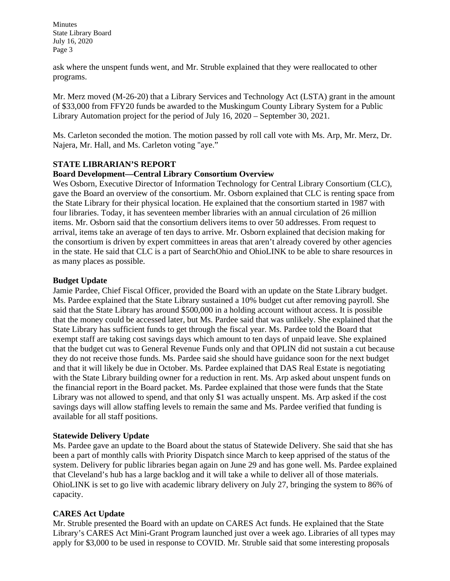ask where the unspent funds went, and Mr. Struble explained that they were reallocated to other programs.

Mr. Merz moved (M-26-20) that a Library Services and Technology Act (LSTA) grant in the amount of \$33,000 from FFY20 funds be awarded to the Muskingum County Library System for a Public Library Automation project for the period of July 16, 2020 – September 30, 2021.

Ms. Carleton seconded the motion. The motion passed by roll call vote with Ms. Arp, Mr. Merz, Dr. Najera, Mr. Hall, and Ms. Carleton voting "aye."

## **STATE LIBRARIAN'S REPORT**

## **Board Development—Central Library Consortium Overview**

Wes Osborn, Executive Director of Information Technology for Central Library Consortium (CLC), gave the Board an overview of the consortium. Mr. Osborn explained that CLC is renting space from the State Library for their physical location. He explained that the consortium started in 1987 with four libraries. Today, it has seventeen member libraries with an annual circulation of 26 million items. Mr. Osborn said that the consortium delivers items to over 50 addresses. From request to arrival, items take an average of ten days to arrive. Mr. Osborn explained that decision making for the consortium is driven by expert committees in areas that aren't already covered by other agencies in the state. He said that CLC is a part of SearchOhio and OhioLINK to be able to share resources in as many places as possible.

## **Budget Update**

Jamie Pardee, Chief Fiscal Officer, provided the Board with an update on the State Library budget. Ms. Pardee explained that the State Library sustained a 10% budget cut after removing payroll. She said that the State Library has around \$500,000 in a holding account without access. It is possible that the money could be accessed later, but Ms. Pardee said that was unlikely. She explained that the State Library has sufficient funds to get through the fiscal year. Ms. Pardee told the Board that exempt staff are taking cost savings days which amount to ten days of unpaid leave. She explained that the budget cut was to General Revenue Funds only and that OPLIN did not sustain a cut because they do not receive those funds. Ms. Pardee said she should have guidance soon for the next budget and that it will likely be due in October. Ms. Pardee explained that DAS Real Estate is negotiating with the State Library building owner for a reduction in rent. Ms. Arp asked about unspent funds on the financial report in the Board packet. Ms. Pardee explained that those were funds that the State Library was not allowed to spend, and that only \$1 was actually unspent. Ms. Arp asked if the cost savings days will allow staffing levels to remain the same and Ms. Pardee verified that funding is available for all staff positions.

## **Statewide Delivery Update**

Ms. Pardee gave an update to the Board about the status of Statewide Delivery. She said that she has been a part of monthly calls with Priority Dispatch since March to keep apprised of the status of the system. Delivery for public libraries began again on June 29 and has gone well. Ms. Pardee explained that Cleveland's hub has a large backlog and it will take a while to deliver all of those materials. OhioLINK is set to go live with academic library delivery on July 27, bringing the system to 86% of capacity.

# **CARES Act Update**

Mr. Struble presented the Board with an update on CARES Act funds. He explained that the State Library's CARES Act Mini-Grant Program launched just over a week ago. Libraries of all types may apply for \$3,000 to be used in response to COVID. Mr. Struble said that some interesting proposals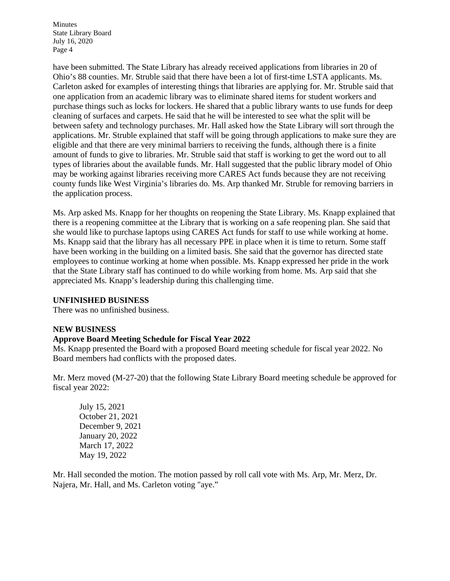have been submitted. The State Library has already received applications from libraries in 20 of Ohio's 88 counties. Mr. Struble said that there have been a lot of first-time LSTA applicants. Ms. Carleton asked for examples of interesting things that libraries are applying for. Mr. Struble said that one application from an academic library was to eliminate shared items for student workers and purchase things such as locks for lockers. He shared that a public library wants to use funds for deep cleaning of surfaces and carpets. He said that he will be interested to see what the split will be between safety and technology purchases. Mr. Hall asked how the State Library will sort through the applications. Mr. Struble explained that staff will be going through applications to make sure they are eligible and that there are very minimal barriers to receiving the funds, although there is a finite amount of funds to give to libraries. Mr. Struble said that staff is working to get the word out to all types of libraries about the available funds. Mr. Hall suggested that the public library model of Ohio may be working against libraries receiving more CARES Act funds because they are not receiving county funds like West Virginia's libraries do. Ms. Arp thanked Mr. Struble for removing barriers in the application process.

Ms. Arp asked Ms. Knapp for her thoughts on reopening the State Library. Ms. Knapp explained that there is a reopening committee at the Library that is working on a safe reopening plan. She said that she would like to purchase laptops using CARES Act funds for staff to use while working at home. Ms. Knapp said that the library has all necessary PPE in place when it is time to return. Some staff have been working in the building on a limited basis. She said that the governor has directed state employees to continue working at home when possible. Ms. Knapp expressed her pride in the work that the State Library staff has continued to do while working from home. Ms. Arp said that she appreciated Ms. Knapp's leadership during this challenging time.

## **UNFINISHED BUSINESS**

There was no unfinished business.

## **NEW BUSINESS**

## **Approve Board Meeting Schedule for Fiscal Year 2022**

Ms. Knapp presented the Board with a proposed Board meeting schedule for fiscal year 2022. No Board members had conflicts with the proposed dates.

Mr. Merz moved (M-27-20) that the following State Library Board meeting schedule be approved for fiscal year 2022:

July 15, 2021 October 21, 2021 December 9, 2021 January 20, 2022 March 17, 2022 May 19, 2022

Mr. Hall seconded the motion. The motion passed by roll call vote with Ms. Arp, Mr. Merz, Dr. Najera, Mr. Hall, and Ms. Carleton voting "aye."